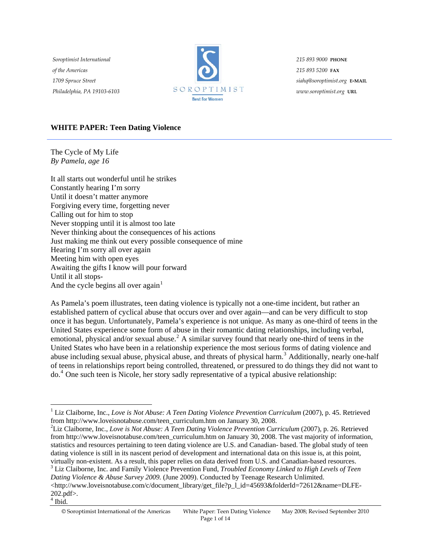*Soroptimist International of the Americas 1709 Spruce Street Philadelphia, PA 19103-6103*



*215 893 9000* **PHONE** *215 893 5200* **FAX** *siahq@soroptimist.org* **E-MAIL** *www.soroptimist.org* **URL**

## **WHITE PAPER: Teen Dating Violence**

The Cycle of My Life *By Pamela, age 16* 

It all starts out wonderful until he strikes Constantly hearing I'm sorry Until it doesn't matter anymore Forgiving every time, forgetting never Calling out for him to stop Never stopping until it is almost too late Never thinking about the consequences of his actions Just making me think out every possible consequence of mine Hearing I'm sorry all over again Meeting him with open eyes Awaiting the gifts I know will pour forward Until it all stops-And the cycle begins all over  $again<sup>1</sup>$  $again<sup>1</sup>$  $again<sup>1</sup>$ 

As Pamela's poem illustrates, teen dating violence is typically not a one-time incident, but rather an established pattern of cyclical abuse that occurs over and over again—and can be very difficult to stop once it has begun. Unfortunately, Pamela's experience is not unique. As many as one-third of teens in the United States experience some form of abuse in their romantic dating relationships, including verbal, emotional, physical and/or sexual abuse.<sup>[2](#page-0-1)</sup> A similar survey found that nearly one-third of teens in the United States who have been in a relationship experience the most serious forms of dating violence and abuse including sexual abuse, physical abuse, and threats of physical harm.<sup>[3](#page-0-2)</sup> Additionally, nearly one-half of teens in relationships report being controlled, threatened, or pressured to do things they did not want to do.[4](#page-0-3) One such teen is Nicole, her story sadly representative of a typical abusive relationship:

<span id="page-0-1"></span>Liz Claiborne, Inc., *Love is Not Abuse: A Teen Dating Violence Prevention Curriculum* (2007), p. 26. Retrieved from http://www.loveisnotabuse.com/teen\_curriculum.htm on January 30, 2008. The vast majority of information, statistics and resources pertaining to teen dating violence are U.S. and Canadian- based. The global study of teen dating violence is still in its nascent period of development and international data on this issue is, at this point, virtually non-existent. As a result, this paper relies on data derived from U.S. and Canadian-based resources. 3 Liz Claiborne, Inc. and Family Violence Prevention Fund, *Troubled Economy Linked to High Levels of Teen Dating Violence & Abuse Survey 2009.* (June 2009). Conducted by Teenage Research Unlimited.

<span id="page-0-3"></span> $4$  Ibid.

<span id="page-0-0"></span><sup>&</sup>lt;sup>1</sup> Liz Claiborne, Inc., *Love is Not Abuse: A Teen Dating Violence Prevention Curriculum* (2007), p. 45. Retrieved from http://www.loveisnotabuse.com/teen\_curriculum.htm on January 30, 2008. 2

<span id="page-0-2"></span><sup>&</sup>lt;http://www.loveisnotabuse.com/c/document\_library/get\_file?p\_l\_id=45693&folderId=72612&name=DLFE-202.pdf>.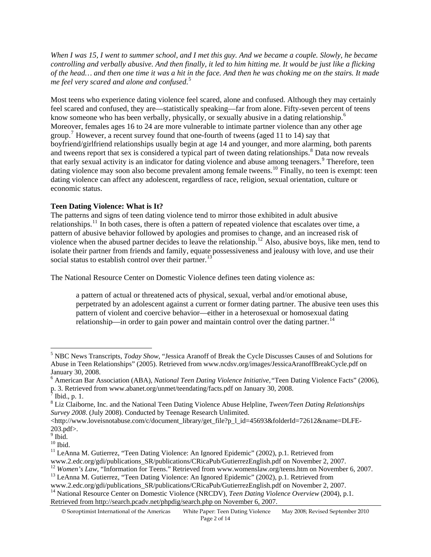*When I was 15, I went to summer school, and I met this guy. And we became a couple. Slowly, he became controlling and verbally abusive. And then finally, it led to him hitting me. It would be just like a flicking of the head… and then one time it was a hit in the face. And then he was choking me on the stairs. It made me feel very scared and alone and confused*. [5](#page-1-0)

Moreover, females ages 16 to 24 are more vulnerable to intimate partner violence than any other age dating violence can affect any adolescent, regardless of race, religion, sexual orientation, culture or conomic status. e Most teens who experience dating violence feel scared, alone and confused. Although they may certainly feel scared and confused, they are—statistically speaking—far from alone. Fifty-seven percent of teens know someone who has been verbally, physically, or sexually abusive in a dating relationship.<sup>[6](#page-1-1)</sup> group.<sup>[7](#page-1-2)</sup> However, a recent survey found that one-fourth of tweens (aged 11 to 14) say that boyfriend/girlfriend relationships usually begin at age 14 and younger, and more alarming, both parents and tweens report that sex is considered a typical part of tween dating relationships.<sup>[8](#page-1-3)</sup> Data now reveals that early sexual activity is an indicator for dating violence and abuse among teenagers.<sup>[9](#page-1-4)</sup> Therefore, teen dating violence may soon also become prevalent among female tweens.<sup>[10](#page-1-5)</sup> Finally, no teen is exempt: teen

### **Teen Dating Violence: What is It?**

isolate their partner from friends and family, equate possessiveness and jealousy with love, and use their social status to establish control over their partner.<sup>13</sup> The patterns and signs of teen dating violence tend to mirror those exhibited in adult abusive relationships.<sup>[11](#page-1-6)</sup> In both cases, there is often a pattern of repeated violence that escalates over time, a pattern of abusive behavior followed by apologies and promises to change, and an increased risk of violence when the abused partner decides to leave the relationship.<sup>[12](#page-1-7)</sup> Also, abusive boys, like men, tend to

The National Resource Center on Domestic Violence defines teen dating violence as:

perpetrated by an adolescent against a current or former dating partner. The abusive teen uses this pattern of violent and coercive behavior—either in a heterosexual or homosexual dating relationship—in order to gain power and maintain control over the dating partner.<sup>14</sup> a pattern of actual or threatened acts of physical, sexual, verbal and/or emotional abuse,

<span id="page-1-0"></span><sup>5</sup> NBC News Transcripts, *Today Show*, "Jessica Aranoff of Break the Cycle Discusses Causes of and Solutions for Abuse in Teen Relationships" (2005). Retrieved from www.ncdsv.org/images/JessicaAranoffBreakCycle.pdf on January 30, 2008.

<span id="page-1-1"></span><sup>6</sup> American Bar Association (ABA), *National Teen Dating Violence Initiative,"*Teen Dating Violence Facts" (2006), p. 3. Retrieved from www.abanet.org/unmet/teendating/facts.pdf on January 30, 2008.

 $\sqrt{7}$  Ibid., p. 1.

<span id="page-1-3"></span><span id="page-1-2"></span><sup>8</sup> Liz Claiborne, Inc. and the National Teen Dating Violence Abuse Helpline, *Tween/Teen Dating Relationships Survey 2008*. (July 2008). Conducted by Teenage Research Unlimited.

<sup>&</sup>lt;http://www.loveisnotabuse.com/c/document\_library/get\_file?p\_l\_id=45693&folderId=72612&name=DLFE-203.pdf>.

<sup>&</sup>lt;sup>9</sup> Ibid.

<span id="page-1-5"></span><span id="page-1-4"></span> $^{\rm 10}$  Ibid.

<sup>&</sup>lt;sup>11</sup> LeAnna M. Gutierrez, "Teen Dating Violence: An Ignored Epidemic" (2002), p.1. Retrieved from

<span id="page-1-6"></span>www.2.edc.org/gdi/publications\_SR/publications/CRicaPub/GutierrezEnglish.pdf on November 2, 2007.

<span id="page-1-7"></span><sup>&</sup>lt;sup>12</sup> *Women's Law*, "Information for Teens." Retrieved from www.womenslaw.org/teens.htm on November 6, 2007.<br><sup>13</sup> LeAnna M. Gutierrez, "Teen Dating Violence: An Ignored Epidemic" (2002), p.1. Retrieved from

www.2.edc.org/gdi/publications\_SR/publications/CRicaPub/GutierrezEnglish.pdf on November 2, 2007.

<sup>&</sup>lt;sup>14</sup> National Resource Center on Domestic Violence (NRCDV), *Teen Dating Violence Overview* (2004), p.1. Retrieved from http://search.pcadv.net/phpdig/search.php on November 6, 2007.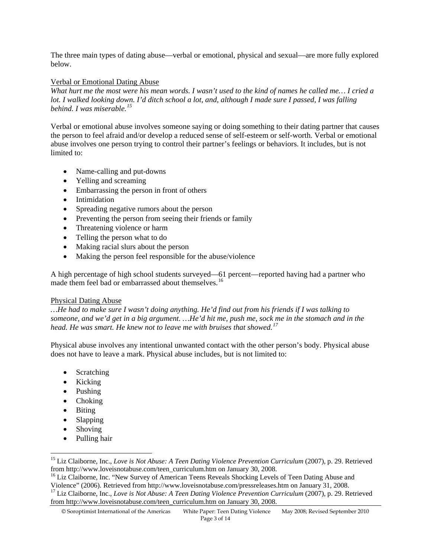The three main types of dating abuse—verbal or emotional, physical and sexual—are more fully explored below.

### Verbal or Emotional Dating Abuse

*What hurt me the most were his mean words. I wasn't used to the kind of names he called me… I cried a lot. I walked looking down. I'd ditch school a lot, and, although I made sure I passed, I was falling behind. I was miserable.[15](#page-2-0)*

Verbal or emotional abuse involves someone saying or doing something to their dating partner that causes the person to feel afraid and/or develop a reduced sense of self-esteem or self-worth. Verbal or emotional abuse involves one person trying to control their partner's feelings or behaviors. It includes, but is not limited to:

- Name-calling and put-downs
- Yelling and screaming
- Embarrassing the person in front of others
- Intimidation
- Spreading negative rumors about the person
- Preventing the person from seeing their friends or family
- Threatening violence or harm
- Telling the person what to do
- Making racial slurs about the person
- Making the person feel responsible for the abuse/violence

A high percentage of high school students surveyed—61 percent—reported having had a partner who made them feel bad or embarrassed about themselves.<sup>[16](#page-2-1)</sup>

#### Physical Dating Abuse

*…He had to make sure I wasn't doing anything. He'd find out from his friends if I was talking to someone, and we'd get in a big argument. …He'd hit me, push me, sock me in the stomach and in the head. He was smart. He knew not to leave me with bruises that showed.[17](#page-2-2)*

Physical abuse involves any intentional unwanted contact with the other person's body. Physical abuse does not have to leave a mark. Physical abuse includes, but is not limited to:

- Scratching
- Kicking
- Pushing
- Choking
- Biting
- Slapping
- Shoving

 $\overline{a}$ 

• Pulling hair

<span id="page-2-0"></span><sup>&</sup>lt;sup>15</sup> Liz Claiborne, Inc., *Love is Not Abuse: A Teen Dating Violence Prevention Curriculum* (2007), p. 29. Retrieved from http://www.loveisnotabuse.com/teen curriculum.htm on January 30, 2008.

<span id="page-2-2"></span><span id="page-2-1"></span><sup>&</sup>lt;sup>16</sup> Liz Claiborne, Inc. "New Survey of American Teens Reveals Shocking Levels of Teen Dating Abuse and Violence" (2006). Retrieved from http://www.loveisnotabuse.com/pressreleases.htm on January 31, 2008. <sup>17</sup> Liz Claiborne, Inc., *Love is Not Abuse: A Teen Dating Violence Prevention Curriculum* (2007), p. 29. Retrieved from http://www.loveisnotabuse.com/teen\_curriculum.htm on January 30, 2008.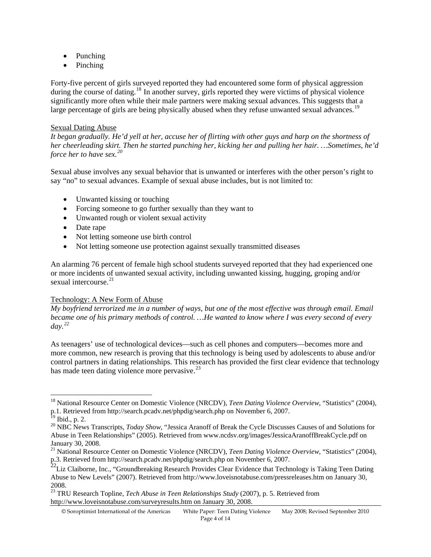- Punching
- Pinching

Forty-five percent of girls surveyed reported they had encountered some form of physical aggression during the course of dating.<sup>[18](#page-3-0)</sup> In another survey, girls reported they were victims of physical violence significantly more often while their male partners were making sexual advances. This suggests that a large percentage of girls are being physically abused when they refuse unwanted sexual advances.<sup>[19](#page-3-1)</sup>

### Sexual Dating Abuse

*It began gradually. He'd yell at her, accuse her of flirting with other guys and harp on the shortness of her cheerleading skirt. Then he started punching her, kicking her and pulling her hair. …Sometimes, he'd force her to have sex.[20](#page-3-2)*

Sexual abuse involves any sexual behavior that is unwanted or interferes with the other person's right to say "no" to sexual advances. Example of sexual abuse includes, but is not limited to:

- Unwanted kissing or touching
- Forcing someone to go further sexually than they want to
- Unwanted rough or violent sexual activity
- Date rape
- Not letting someone use birth control
- Not letting someone use protection against sexually transmitted diseases

An alarming 76 percent of female high school students surveyed reported that they had experienced one or more incidents of unwanted sexual activity, including unwanted kissing, hugging, groping and/or sexual intercourse.<sup>[21](#page-3-3)</sup>

# Technology: A New Form of Abuse

*My boyfriend terrorized me in a number of ways, but one of the most effective was through email. Email became one of his primary methods of control. …He wanted to know where I was every second of every day.[22](#page-3-4)* 

As teenagers' use of technological devices—such as cell phones and computers—becomes more and more common, new research is proving that this technology is being used by adolescents to abuse and/or control partners in dating relationships. This research has provided the first clear evidence that technology has made teen dating violence more pervasive.<sup>[23](#page-3-5)</sup>

 $\overline{a}$ 

© Soroptimist International of the Americas White Paper: Teen Dating Violence May 2008; Revised September 2010

<span id="page-3-0"></span><sup>&</sup>lt;sup>18</sup> National Resource Center on Domestic Violence (NRCDV), *Teen Dating Violence Overview*, "Statistics" (2004), p.1. Retrieved from http://search.pcadv.net/phpdig/search.php on November 6, 2007.

 $^{19}$  Ibid., p. 2.

<span id="page-3-2"></span><span id="page-3-1"></span><sup>&</sup>lt;sup>20</sup> NBC News Transcripts, *Today Show*, "Jessica Aranoff of Break the Cycle Discusses Causes of and Solutions for Abuse in Teen Relationships" (2005). Retrieved from www.ncdsv.org/images/JessicaAranoffBreakCycle.pdf on January 30, 2008.

<span id="page-3-3"></span><sup>&</sup>lt;sup>21</sup> National Resource Center on Domestic Violence (NRCDV), *Teen Dating Violence Overview*, "Statistics" (2004), p.3. Retrieved from http://search.pcadv.net/phpdig/search.php on November 6, 2007.

<span id="page-3-4"></span> $^{2}$ Liz Claiborne, Inc., "Groundbreaking Research Provides Clear Evidence that Technology is Taking Teen Dating Abuse to New Levels" (2007). Retrieved from http://www.loveisnotabuse.com/pressreleases.htm on January 30, 2008.

<span id="page-3-5"></span><sup>23</sup> TRU Research Topline, *Tech Abuse in Teen Relationships Study* (2007), p. 5. Retrieved from http://www.loveisnotabuse.com/surveyresults.htm on January 30, 2008.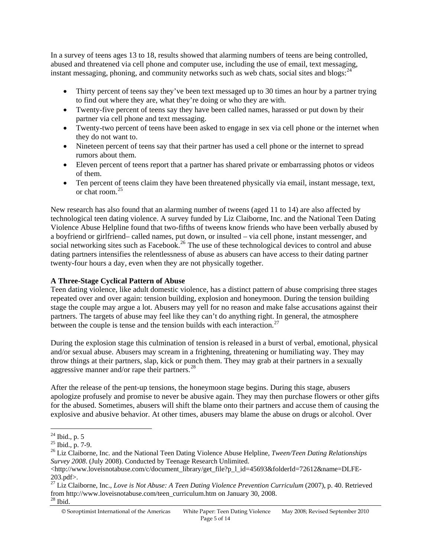In a survey of teens ages 13 to 18, results showed that alarming numbers of teens are being controlled, abused and threatened via cell phone and computer use, including the use of email, text messaging, instant messaging, phoning, and community networks such as web chats, social sites and blogs:  $24$ 

- Thirty percent of teens say they've been text messaged up to 30 times an hour by a partner trying to find out where they are, what they're doing or who they are with.
- Twenty-five percent of teens say they have been called names, harassed or put down by their partner via cell phone and text messaging.
- Twenty-two percent of teens have been asked to engage in sex via cell phone or the internet when they do not want to.
- Nineteen percent of teens say that their partner has used a cell phone or the internet to spread rumors about them.
- Eleven percent of teens report that a partner has shared private or embarrassing photos or videos of them.
- Ten percent of teens claim they have been threatened physically via email, instant message, text, or chat room.[25](#page-4-1)

New research has also found that an alarming number of tweens (aged 11 to 14) are also affected by technological teen dating violence. A survey funded by Liz Claiborne, Inc. and the National Teen Dating Violence Abuse Helpline found that two-fifths of tweens know friends who have been verbally abused by a boyfriend or girlfriend– called names, put down, or insulted – via cell phone, instant messenger, and social networking sites such as Facebook.<sup>[26](#page-4-2)</sup> The use of these technological devices to control and abuse dating partners intensifies the relentlessness of abuse as abusers can have access to their dating partner twenty-four hours a day, even when they are not physically together.

# **A Three-Stage Cyclical Pattern of Abuse**

Teen dating violence, like adult domestic violence, has a distinct pattern of abuse comprising three stages repeated over and over again: tension building, explosion and honeymoon. During the tension building stage the couple may argue a lot. Abusers may yell for no reason and make false accusations against their partners. The targets of abuse may feel like they can't do anything right. In general, the atmosphere between the couple is tense and the tension builds with each interaction.<sup>[27](#page-4-3)</sup>

During the explosion stage this culmination of tension is released in a burst of verbal, emotional, physical and/or sexual abuse. Abusers may scream in a frightening, threatening or humiliating way. They may throw things at their partners, slap, kick or punch them. They may grab at their partners in a sexually aggressive manner and/or rape their partners.<sup>[28](#page-4-4)</sup>

After the release of the pent-up tensions, the honeymoon stage begins. During this stage, abusers apologize profusely and promise to never be abusive again. They may then purchase flowers or other gifts for the abused. Sometimes, abusers will shift the blame onto their partners and accuse them of causing the explosive and abusive behavior. At other times, abusers may blame the abuse on drugs or alcohol. Over

 $\overline{a}$  $24$  Ibid., p. 5

<span id="page-4-1"></span><span id="page-4-0"></span> $25$  Ibid., p. 7-9.

<span id="page-4-2"></span><sup>26</sup> Liz Claiborne, Inc. and the National Teen Dating Violence Abuse Helpline, *Tween/Teen Dating Relationships Survey 2008*. (July 2008). Conducted by Teenage Research Unlimited.

<sup>&</sup>lt;http://www.loveisnotabuse.com/c/document\_library/get\_file?p\_1\_id=45693&folderId=72612&name=DLFE-203.pdf>.

<span id="page-4-4"></span><span id="page-4-3"></span><sup>27</sup> Liz Claiborne, Inc., *Love is Not Abuse: A Teen Dating Violence Prevention Curriculum* (2007), p. 40. Retrieved from http://www.loveisnotabuse.com/teen\_curriculum.htm on January 30, 2008. 28 Ibid.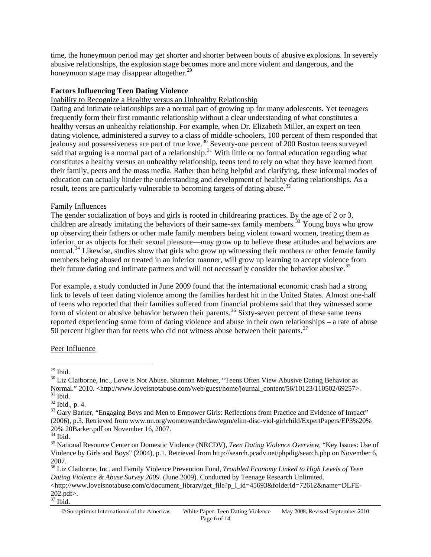time, the honeymoon period may get shorter and shorter between bouts of abusive explosions. In severely abusive relationships, the explosion stage becomes more and more violent and dangerous, and the honeymoon stage may disappear altogether. $29$ 

## **Factors Influencing Teen Dating Violence**

#### Inability to Recognize a Healthy versus an Unhealthy Relationship

Dating and intimate relationships are a normal part of growing up for many adolescents. Yet teenagers frequently form their first romantic relationship without a clear understanding of what constitutes a healthy versus an unhealthy relationship. For example, when Dr. Elizabeth Miller, an expert on teen dating violence, administered a survey to a class of middle-schoolers, 100 percent of them responded that jealousy and possessiveness are part of true love.<sup>[30](#page-5-1)</sup> Seventy-one percent of 200 Boston teens surveyed said that arguing is a normal part of a relationship.<sup>[31](#page-5-2)</sup> With little or no formal education regarding what constitutes a healthy versus an unhealthy relationship, teens tend to rely on what they have learned from their family, peers and the mass media. Rather than being helpful and clarifying, these informal modes of education can actually hinder the understanding and development of healthy dating relationships. As a result, teens are particularly vulnerable to becoming targets of dating abuse.<sup>[32](#page-5-3)</sup>

#### Family Influences

The gender socialization of boys and girls is rooted in childrearing practices. By the age of 2 or 3, children are already imitating the behaviors of their same-sex family members.<sup>[33](#page-5-4)</sup> Young boys who grow up observing their fathers or other male family members being violent toward women, treating them as inferior, or as objects for their sexual pleasure—may grow up to believe these attitudes and behaviors are normal.<sup>[34](#page-5-5)</sup> Likewise, studies show that girls who grow up witnessing their mothers or other female family members being abused or treated in an inferior manner, will grow up learning to accept violence from their future dating and intimate partners and will not necessarily consider the behavior abusive.<sup>[35](#page-5-6)</sup>

For example, a study conducted in June 2009 found that the international economic crash had a strong link to levels of teen dating violence among the families hardest hit in the United States. Almost one-half of teens who reported that their families suffered from financial problems said that they witnessed some form of violent or abusive behavior between their parents.<sup>[36](#page-5-7)</sup> Sixty-seven percent of these same teens reported experiencing some form of dating violence and abuse in their own relationships – a rate of abuse  $50$  percent higher than for teens who did not witness abuse between their parents.<sup>[37](#page-5-8)</sup>

#### Peer Influence

 $\overline{a}$  $29$  Ibid.

<span id="page-5-1"></span><span id="page-5-0"></span><sup>&</sup>lt;sup>30</sup> Liz Claiborne, Inc., Love is Not Abuse. Shannon Mehner, "Teens Often View Abusive Dating Behavior as Normal." 2010. <http://www.loveisnotabuse.com/web/guest/home/journal\_content/56/10123/110502/69257>. 31 Ibid.

<span id="page-5-3"></span><span id="page-5-2"></span> $32$  Ibid., p. 4.

<span id="page-5-4"></span><sup>&</sup>lt;sup>33</sup> Gary Barker, "Engaging Boys and Men to Empower Girls: Reflections from Practice and Evidence of Impact" (2006), p.3. Retrieved from [www.un.org/womenwatch/daw/egm/elim-disc-viol-girlchild/ExpertPapers/EP3](http://www.un.org/womenwatch/daw/egm/elim-disc-viol-girlchild/ExpertPapers/EP)%20%  $\frac{20\%}{^{34}}$  20Barker.pdf on November 16, 2007.

<span id="page-5-6"></span><span id="page-5-5"></span><sup>35</sup> National Resource Center on Domestic Violence (NRCDV), *Teen Dating Violence Overview,* "Key Issues: Use of Violence by Girls and Boys" (2004), p.1. Retrieved from http://search.pcadv.net/phpdig/search.php on November 6, 2007.

<span id="page-5-7"></span><sup>36</sup> Liz Claiborne, Inc. and Family Violence Prevention Fund, *Troubled Economy Linked to High Levels of Teen Dating Violence & Abuse Survey 2009.* (June 2009). Conducted by Teenage Research Unlimited.

<sup>&</sup>lt;http://www.loveisnotabuse.com/c/document\_library/get\_file?p\_l\_id=45693&folderId=72612&name=DLFE-202.pdf>.

<span id="page-5-8"></span> $37$  Ibid.

<sup>©</sup> Soroptimist International of the Americas White Paper: Teen Dating Violence May 2008; Revised September 2010 Page 6 of 14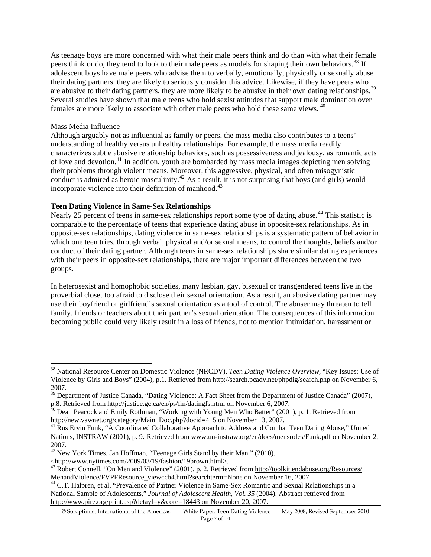As teenage boys are more concerned with what their male peers think and do than with what their female peers think or do, they tend to look to their male peers as models for shaping their own behaviors.<sup>[38](#page-6-0)</sup> If adolescent boys have male peers who advise them to verbally, emotionally, physically or sexually abuse their dating partners, they are likely to seriously consider this advice. Likewise, if they have peers who are abusive to their dating partners, they are more likely to be abusive in their own dating relationships.<sup>[39](#page-6-1)</sup> Several studies have shown that male teens who hold sexist attitudes that support male domination over females are more likely to associate with other male peers who hold these same views. <sup>[40](#page-6-2)</sup>

### Mass Media Influence

 $\overline{a}$ 

Although arguably not as influential as family or peers, the mass media also contributes to a teens' understanding of healthy versus unhealthy relationships. For example, the mass media readily characterizes subtle abusive relationship behaviors, such as possessiveness and jealousy, as romantic acts of love and devotion.<sup>[41](#page-6-3)</sup> In addition, youth are bombarded by mass media images depicting men solving their problems through violent means. Moreover, this aggressive, physical, and often misogynistic conduct is admired as heroic masculinity.<sup>[42](#page-6-4)</sup> As a result, it is not surprising that boys (and girls) would incorporate violence into their definition of manhood. $^{43}$  $^{43}$  $^{43}$ 

### **Teen Dating Violence in Same-Sex Relationships**

Nearly 25 percent of teens in same-sex relationships report some type of dating abuse.<sup>[44](#page-6-6)</sup> This statistic is comparable to the percentage of teens that experience dating abuse in opposite-sex relationships. As in opposite-sex relationships, dating violence in same-sex relationships is a systematic pattern of behavior in which one teen tries, through verbal, physical and/or sexual means, to control the thoughts, beliefs and/or conduct of their dating partner. Although teens in same-sex relationships share similar dating experiences with their peers in opposite-sex relationships, there are major important differences between the two groups.

In heterosexist and homophobic societies, many lesbian, gay, bisexual or transgendered teens live in the proverbial closet too afraid to disclose their sexual orientation. As a result, an abusive dating partner may use their boyfriend or girlfriend's sexual orientation as a tool of control. The abuser may threaten to tell family, friends or teachers about their partner's sexual orientation. The consequences of this information becoming public could very likely result in a loss of friends, not to mention intimidation, harassment or

<span id="page-6-0"></span><sup>38</sup> National Resource Center on Domestic Violence (NRCDV), *Teen Dating Violence Overview,* "Key Issues: Use of Violence by Girls and Boys" (2004), p.1. Retrieved from http://search.pcadv.net/phpdig/search.php on November 6, 2007.

<span id="page-6-1"></span><sup>&</sup>lt;sup>39</sup> Department of Justice Canada, "Dating Violence: A Fact Sheet from the Department of Justice Canada" (2007), p.8. Retrieved from http://justice.gc.ca/en/ps/fm/datingfs.html on November 6, 2007.<br><sup>40</sup> Dean Peacock and Emily Rothman, "Working with Young Men Who Batter" (2001), p. 1. Retrieved from

<span id="page-6-2"></span>http://new.vawnet.org/category/Main\_Doc.php?docid=415 on November 13, 2007.

<span id="page-6-3"></span><sup>&</sup>lt;sup>41</sup> Rus Ervin Funk, "A Coordinated Collaborative Approach to Address and Combat Teen Dating Abuse," United Nations, INSTRAW (2001), p. 9. Retrieved from www.un-instraw.org/en/docs/mensroles/Funk.pdf on November 2, 2007.

<span id="page-6-4"></span><sup>&</sup>lt;sup>42</sup> New York Times. Jan Hoffman, "Teenage Girls Stand by their Man." (2010).  $\langle$ http://www.nytimes.com/2009/03/19/fashion/19brown.html>.

<span id="page-6-5"></span><sup>&</sup>lt;sup>43</sup> Robert Connell, "On Men and Violence" (2001), p. 2. Retrieved from http://toolkit.endabuse.org/Resources/ MenandViolence/FVPFResource\_viewccb4.html?searchterm=None on November 16, 2007.<br><sup>44</sup> C.T. Halpren, et al, "Prevalence of Partner Violence in Same-Sex Romantic and Sexual Relationships in a

<span id="page-6-6"></span>National Sample of Adolescents," *Journal of Adolescent Health, Vol. 35* (2004). Abstract retrieved from http://www.pire.org/print.asp?detayl=y&core=18443 on November 20, 2007.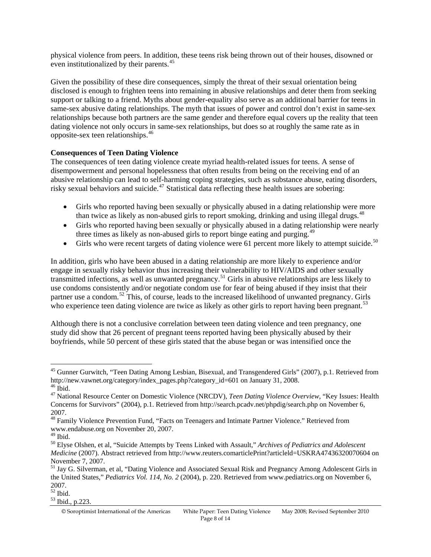physical violence from peers. In addition, these teens risk being thrown out of their houses, disowned or even institutionalized by their parents.<sup>[45](#page-7-0)</sup>

Given the possibility of these dire consequences, simply the threat of their sexual orientation being disclosed is enough to frighten teens into remaining in abusive relationships and deter them from seeking support or talking to a friend. Myths about gender-equality also serve as an additional barrier for teens in same-sex abusive dating relationships. The myth that issues of power and control don't exist in same-sex relationships because both partners are the same gender and therefore equal covers up the reality that teen dating violence not only occurs in same-sex relationships, but does so at roughly the same rate as in opposite-sex teen relationships.[46](#page-7-1)

### **Consequences of Teen Dating Violence**

The consequences of teen dating violence create myriad health-related issues for teens. A sense of disempowerment and personal hopelessness that often results from being on the receiving end of an abusive relationship can lead to self-harming coping strategies, such as substance abuse, eating disorders, risky sexual behaviors and suicide.<sup>[47](#page-7-2)</sup> Statistical data reflecting these health issues are sobering:

- Girls who reported having been sexually or physically abused in a dating relationship were more than twice as likely as non-abused girls to report smoking, drinking and using illegal drugs.<sup>[48](#page-7-3)</sup>
- Girls who reported having been sexually or physically abused in a dating relationship were nearly three times as likely as non-abused girls to report binge eating and purging.<sup>[49](#page-7-4)</sup>
- Girls who were recent targets of dating violence were 61 percent more likely to attempt suicide.<sup>[50](#page-7-5)</sup>

In addition, girls who have been abused in a dating relationship are more likely to experience and/or engage in sexually risky behavior thus increasing their vulnerability to HIV/AIDS and other sexually transmitted infections, as well as unwanted pregnancy.[51](#page-7-6) Girls in abusive relationships are less likely to use condoms consistently and/or negotiate condom use for fear of being abused if they insist that their partner use a condom.<sup>[52](#page-7-7)</sup> This, of course, leads to the increased likelihood of unwanted pregnancy. Girls who experience teen dating violence are twice as likely as other girls to report having been pregnant.<sup>[53](#page-7-8)</sup>

Although there is not a conclusive correlation between teen dating violence and teen pregnancy, one study did show that 26 percent of pregnant teens reported having been physically abused by their boyfriends, while 50 percent of these girls stated that the abuse began or was intensified once the

 $\overline{a}$ 

<span id="page-7-7"></span> $rac{200}{52}$  Ibid.

<span id="page-7-0"></span><sup>&</sup>lt;sup>45</sup> Gunner Gurwitch, "Teen Dating Among Lesbian, Bisexual, and Transgendered Girls" (2007), p.1. Retrieved from http://new.vawnet.org/category/index\_pages.php?category\_id=601 on January 31, 2008. 46 Ibid.

<span id="page-7-2"></span><span id="page-7-1"></span><sup>47</sup> National Resource Center on Domestic Violence (NRCDV), *Teen Dating Violence Overview,* "Key Issues: Health Concerns for Survivors" (2004), p.1. Retrieved from http://search.pcadv.net/phpdig/search.php on November 6, 2007.

<span id="page-7-3"></span><sup>48</sup> Family Violence Prevention Fund, "Facts on Teenagers and Intimate Partner Violence." Retrieved from www.endabuse.org on November 20, 2007.

<span id="page-7-4"></span> $^{49}$  Ibid.

<span id="page-7-5"></span><sup>50</sup> Elyse Olshen, et al, "Suicide Attempts by Teens Linked with Assault," *Archives of Pediatrics and Adolescent Medicine* (2007). Abstract retrieved from http://www.reuters.comarticlePrint?articleld=USKRA47436320070604 on November 7, 2007.

<span id="page-7-6"></span><sup>&</sup>lt;sup>51</sup> Jay G. Silverman, et al, "Dating Violence and Associated Sexual Risk and Pregnancy Among Adolescent Girls in the United States," *Pediatrics Vol. 114, No. 2* (2004), p. 220. Retrieved from www.pediatrics.org on November 6, 2007.

<span id="page-7-8"></span><sup>53</sup> Ibid., p.223.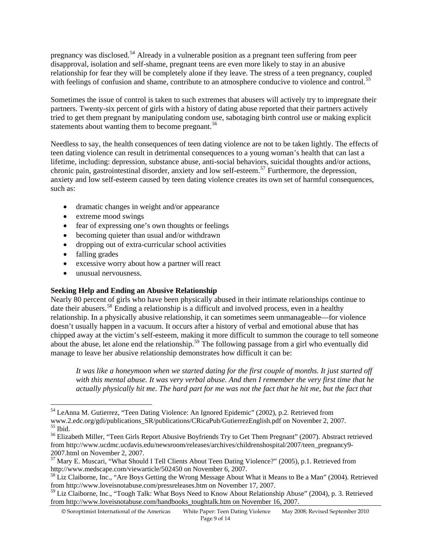pregnancy was disclosed.[54](#page-8-0) Already in a vulnerable position as a pregnant teen suffering from peer disapproval, isolation and self-shame, pregnant teens are even more likely to stay in an abusive relationship for fear they will be completely alone if they leave. The stress of a teen pregnancy, coupled with feelings of confusion and shame, contribute to an atmosphere conducive to violence and control.<sup>[55](#page-8-1)</sup>

Sometimes the issue of control is taken to such extremes that abusers will actively try to impregnate their partners. Twenty-six percent of girls with a history of dating abuse reported that their partners actively tried to get them pregnant by manipulating condom use, sabotaging birth control use or making explicit statements about wanting them to become pregnant.<sup>[56](#page-8-2)</sup>

Needless to say, the health consequences of teen dating violence are not to be taken lightly. The effects of teen dating violence can result in detrimental consequences to a young woman's health that can last a lifetime, including: depression, substance abuse, anti-social behaviors, suicidal thoughts and/or actions, chronic pain, gastrointestinal disorder, anxiety and low self-esteem.[57](#page-8-3) Furthermore, the depression, anxiety and low self-esteem caused by teen dating violence creates its own set of harmful consequences, such as:

- dramatic changes in weight and/or appearance
- extreme mood swings
- fear of expressing one's own thoughts or feelings
- becoming quieter than usual and/or withdrawn
- dropping out of extra-curricular school activities
- falling grades

 $\overline{a}$ 

- excessive worry about how a partner will react
- unusual nervousness.

#### **Seeking Help and Ending an Abusive Relationship**

Nearly 80 percent of girls who have been physically abused in their intimate relationships continue to date their abusers.<sup>[58](#page-8-4)</sup> Ending a relationship is a difficult and involved process, even in a healthy relationship. In a physically abusive relationship, it can sometimes seem unmanageable—for violence doesn't usually happen in a vacuum. It occurs after a history of verbal and emotional abuse that has chipped away at the victim's self-esteem, making it more difficult to summon the courage to tell someone about the abuse, let alone end the relationship.<sup>[59](#page-8-5)</sup> The following passage from a girl who eventually did manage to leave her abusive relationship demonstrates how difficult it can be:

*It was like a honeymoon when we started dating for the first couple of months. It just started off with this mental abuse. It was very verbal abuse. And then I remember the very first time that he actually physically hit me. The hard part for me was not the fact that he hit me, but the fact that* 

Page 9 of 14 © Soroptimist International of the Americas White Paper: Teen Dating Violence May 2008; Revised September 2010

<span id="page-8-0"></span><sup>54</sup> LeAnna M. Gutierrez, "Teen Dating Violence: An Ignored Epidemic" (2002), p.2. Retrieved from www.2.edc.org/gdi/publications\_SR/publications/CRicaPub/GutierrezEnglish.pdf on November 2, 2007. 55 Ibid.

<span id="page-8-2"></span><span id="page-8-1"></span><sup>&</sup>lt;sup>56</sup> Elizabeth Miller, "Teen Girls Report Abusive Boyfriends Try to Get Them Pregnant" (2007). Abstract retrieved from http://www.ucdmc.ucdavis.edu/newsroom/releases/archives/childrenshospital/2007/teen\_pregnancy9- 2007.html on November 2, 2007.

<span id="page-8-3"></span><sup>57</sup> Mary E. Muscari, "What Should I Tell Clients About Teen Dating Violence?" (2005), p.1. Retrieved from http://www.medscape.com/viewarticle/502450 on November 6, 2007.

<span id="page-8-4"></span><sup>&</sup>lt;sup>58</sup> Liz Claiborne, Inc., "Are Boys Getting the Wrong Message About What it Means to Be a Man" (2004). Retrieved from http://www.loveisnotabuse.com/pressreleases.htm on November 17, 2007.

<span id="page-8-5"></span><sup>&</sup>lt;sup>59</sup> Liz Claiborne, Inc., "Tough Talk: What Boys Need to Know About Relationship Abuse" (2004), p. 3. Retrieved from http://www.loveisnotabuse.com/handbooks\_toughtalk.htm on November 16, 2007.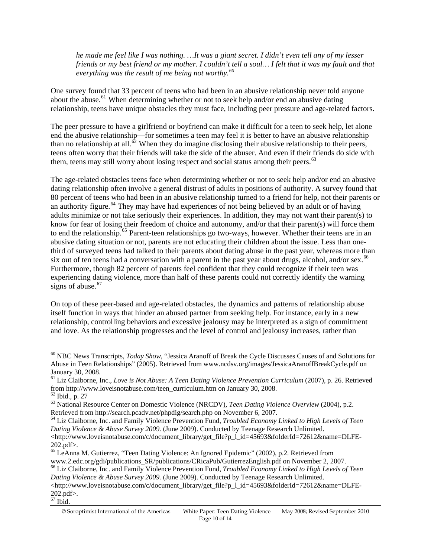*he made me feel like I was nothing. …It was a giant secret. I didn't even tell any of my lesser friends or my best friend or my mother. I couldn't tell a soul… I felt that it was my fault and that everything was the result of me being not worthy.[60](#page-9-0)*

One survey found that 33 percent of teens who had been in an abusive relationship never told anyone about the abuse.<sup>[61](#page-9-1)</sup> When determining whether or not to seek help and/or end an abusive dating relationship, teens have unique obstacles they must face, including peer pressure and age-related factors.

The peer pressure to have a girlfriend or boyfriend can make it difficult for a teen to seek help, let alone end the abusive relationship—for sometimes a teen may feel it is better to have an abusive relationship than no relationship at all.<sup>[62](#page-9-2)</sup> When they do imagine disclosing their abusive relationship to their peers, teens often worry that their friends will take the side of the abuser. And even if their friends do side with them, teens may still worry about losing respect and social status among their peers.<sup>[63](#page-9-3)</sup>

The age-related obstacles teens face when determining whether or not to seek help and/or end an abusive dating relationship often involve a general distrust of adults in positions of authority. A survey found that 80 percent of teens who had been in an abusive relationship turned to a friend for help, not their parents or an authority figure.<sup>[64](#page-9-4)</sup> They may have had experiences of not being believed by an adult or of having adults minimize or not take seriously their experiences. In addition, they may not want their parent(s) to know for fear of losing their freedom of choice and autonomy, and/or that their parent(s) will force them to end the relationship.<sup>[65](#page-9-5)</sup> Parent-teen relationships go two-ways, however. Whether their teens are in an abusive dating situation or not, parents are not educating their children about the issue. Less than onethird of surveyed teens had talked to their parents about dating abuse in the past year, whereas more than six out of ten teens had a conversation with a parent in the past year about drugs, alcohol, and/or sex.<sup>[66](#page-9-6)</sup> Furthermore, though 82 percent of parents feel confident that they could recognize if their teen was experiencing dating violence, more than half of these parents could not correctly identify the warning signs of abuse. $67$ 

On top of these peer-based and age-related obstacles, the dynamics and patterns of relationship abuse itself function in ways that hinder an abused partner from seeking help. For instance, early in a new relationship, controlling behaviors and excessive jealousy may be interpreted as a sign of commitment and love. As the relationship progresses and the level of control and jealousy increases, rather than

<span id="page-9-0"></span><sup>60</sup> NBC News Transcripts, *Today Show*, "Jessica Aranoff of Break the Cycle Discusses Causes of and Solutions for Abuse in Teen Relationships" (2005). Retrieved from www.ncdsv.org/images/JessicaAranoffBreakCycle.pdf on January 30, 2008.

<span id="page-9-1"></span><sup>61</sup> Liz Claiborne, Inc., *Love is Not Abuse: A Teen Dating Violence Prevention Curriculum* (2007), p. 26. Retrieved from http://www.loveisnotabuse.com/teen\_curriculum.htm on January 30, 2008. <sup>62</sup> Ibid., p. 27

<span id="page-9-3"></span><span id="page-9-2"></span><sup>63</sup> National Resource Center on Domestic Violence (NRCDV), *Teen Dating Violence Overview* (2004), p.2. Retrieved from http://search.pcadv.net/phpdig/search.php on November 6, 2007.<br><sup>64</sup> Liz Claiborne, Inc. and Family Violence Prevention Fund, *Troubled Economy Linked to High Levels of Teen* 

<span id="page-9-4"></span>*Dating Violence & Abuse Survey 2009.* (June 2009). Conducted by Teenage Research Unlimited. <http://www.loveisnotabuse.com/c/document\_library/get\_file?p\_l\_id=45693&folderId=72612&name=DLFE-202.pdf>.

<span id="page-9-6"></span><span id="page-9-5"></span><sup>&</sup>lt;sup>65</sup> LeAnna M. Gutierrez, "Teen Dating Violence: An Ignored Epidemic" (2002), p.2. Retrieved from www.2.edc.org/gdi/publications\_SR/publications/CRicaPub/GutierrezEnglish.pdf on November 2, 2007. 66 Liz Claiborne, Inc. and Family Violence Prevention Fund, *Troubled Economy Linked to High Levels of Teen Dating Violence & Abuse Survey 2009.* (June 2009). Conducted by Teenage Research Unlimited. <http://www.loveisnotabuse.com/c/document\_library/get\_file?p\_l\_id=45693&folderId=72612&name=DLFE-202.pdf>.

<span id="page-9-7"></span> $67$  Ibid.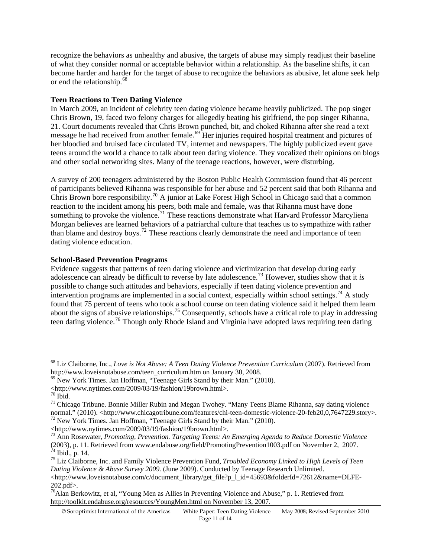recognize the behaviors as unhealthy and abusive, the targets of abuse may simply readjust their baseline of what they consider normal or acceptable behavior within a relationship. As the baseline shifts, it can become harder and harder for the target of abuse to recognize the behaviors as abusive, let alone seek help or end the relationship.<sup>[68](#page-10-0)</sup>

### **Teen Reactions to Teen Dating Violence**

In March 2009, an incident of celebrity teen dating violence became heavily publicized. The pop singer Chris Brown, 19, faced two felony charges for allegedly beating his girlfriend, the pop singer Rihanna, 21. Court documents revealed that Chris Brown punched, bit, and choked Rihanna after she read a text message he had received from another female.<sup>[69](#page-10-1)</sup> Her injuries required hospital treatment and pictures of her bloodied and bruised face circulated TV, internet and newspapers. The highly publicized event gave teens around the world a chance to talk about teen dating violence. They vocalized their opinions on blogs and other social networking sites. Many of the teenage reactions, however, were disturbing.

A survey of 200 teenagers administered by the Boston Public Health Commission found that 46 percent of participants believed Rihanna was responsible for her abuse and 52 percent said that both Rihanna and Chris Brown bore responsibility.<sup>[70](#page-10-2)</sup> A junior at Lake Forest High School in Chicago said that a common reaction to the incident among his peers, both male and female, was that Rihanna must have done something to provoke the violence.<sup>[71](#page-10-3)</sup> These reactions demonstrate what Harvard Professor Marcyliena Morgan believes are learned behaviors of a patriarchal culture that teaches us to sympathize with rather than blame and destroy boys.<sup>[72](#page-10-4)</sup> These reactions clearly demonstrate the need and importance of teen dating violence education.

### **School-Based Prevention Programs**

Evidence suggests that patterns of teen dating violence and victimization that develop during early adolescence can already be difficult to reverse by late adolescence.[73](#page-10-5) However, studies show that it *is* possible to change such attitudes and behaviors, especially if teen dating violence prevention and intervention programs are implemented in a social context, especially within school settings.<sup>[74](#page-10-6)</sup> A study found that 75 percent of teens who took a school course on teen dating violence said it helped them learn about the signs of abusive relationships.[75](#page-10-7) Consequently, schools have a critical role to play in addressing teen dating violence.[76](#page-10-8) Though only Rhode Island and Virginia have adopted laws requiring teen dating

 $\overline{a}$ 

© Soroptimist International of the Americas White Paper: Teen Dating Violence May 2008; Revised September 2010

<span id="page-10-0"></span><sup>68</sup> Liz Claiborne, Inc., *Love is Not Abuse: A Teen Dating Violence Prevention Curriculum* (2007). Retrieved from http://www.loveisnotabuse.com/teen\_curriculum.htm on January 30, 2008.

 $^{69}$  New York Times. Jan Hoffman, "Teenage Girls Stand by their Man." (2010).

<span id="page-10-1"></span><sup>&</sup>lt;http://www.nytimes.com/2009/03/19/fashion/19brown.html>. 70 Ibid.

<span id="page-10-3"></span><span id="page-10-2"></span> $71$  Chicago Tribune. Bonnie Miller Rubin and Megan Twohey. "Many Teens Blame Rihanna, say dating violence normal." (2010). <http://www.chicagotribune.com/features/chi-teen-domestic-violence-20-feb20,0,7647229.story>.<br><sup>72</sup> New York Times. Jan Hoffman, "Teenage Girls Stand by their Man." (2010).<br><http://www.nytimes.com/2009/03/1

<span id="page-10-4"></span>

<span id="page-10-5"></span><sup>&</sup>lt;sup>73</sup> Ann Rosewater, *Promoting, Prevention. Targeting Teens: An Emerging Agenda to Reduce Domestic Violence* (2003), p. 11. Retrieved from www.endabuse.org/field/PromotingPrevention1003.pdf on November 2, 2007.  $^{74}$  Ibid., p. 14.

<span id="page-10-7"></span><span id="page-10-6"></span><sup>75</sup> Liz Claiborne, Inc. and Family Violence Prevention Fund, *Troubled Economy Linked to High Levels of Teen Dating Violence & Abuse Survey 2009.* (June 2009). Conducted by Teenage Research Unlimited.

<sup>&</sup>lt;http://www.loveisnotabuse.com/c/document\_library/get\_file?p\_l\_id=45693&folderId=72612&name=DLFE-202.pdf>.

<span id="page-10-8"></span> $^{76}$ Alan Berkowitz, et al, "Young Men as Allies in Preventing Violence and Abuse," p. 1. Retrieved from http://toolkit.endabuse.org/resources/YoungMen.html on November 13, 2007.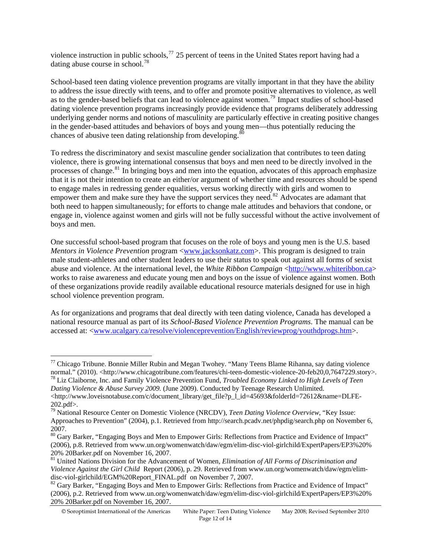dating abuse course in school.<sup>78</sup> violence instruction in public schools,  $^{77}$  $^{77}$  $^{77}$  25 percent of teens in the United States report having had a

School-based teen dating violence prevention programs are vitally important in that they have the ability to address the issue directly with teens, and to offer and promote positive alternatives to violence, as well as to the gender-based beliefs that can lead to violence against women.[79](#page-11-1) Impact studies of school-based dating violence prevention programs increasingly provide evidence that programs deliberately addressing underlying gender norms and notions of masculinity are particularly effective in creating positive changes in the gender-based attitudes and behaviors of boys and young men—thus potentially reducing the chances of abusive teen dating relationship from developing.<sup>[80](#page-11-2)</sup>

To redress the discriminatory and sexist masculine gender socialization that contributes to teen dating violence, there is growing international consensus that boys and men need to be directly involved in the processes of change.<sup>[81](#page-11-3)</sup> In bringing boys and men into the equation, advocates of this approach emphasize that it is not their intention to create an either/or argument of whether time and resources should be spend to engage males in redressing gender equalities, versus working directly with girls and women to empower them and make sure they have the support services they need.<sup>[82](#page-11-4)</sup> Advocates are adamant that both need to happen simultaneously; for efforts to change male attitudes and behaviors that condone, or engage in, violence against women and girls will not be fully successful without the active involvement of boys and men.

One successful school-based program that focuses on the role of boys and young men is the U.S. based *Mentors in Violence Prevention* program [<www.jacksonkatz.com](http://www.jacksonkatz.com/)>. This program is designed to train male student-athletes and other student leaders to use their status to speak out against all forms of sexist abuse and violence. At the international level, the *White Ribbon Campaign* [<http://www.whiteribbon.ca>](http://www.whiteribbon.ca/) works to raise awareness and educate young men and boys on the issue of violence against women. Both of these organizations provide readily available educational resource materials designed for use in high school violence prevention program.

As for organizations and programs that deal directly with teen dating violence, Canada has developed a national resource manual as part of its *School-Based Violence Prevention Programs*. The manual can be accessed at: [<www.ucalgary.ca/resolve/violenceprevention/English/reviewprog/youthdprogs.htm>](http://www.ucalgary.ca/resolve/violenceprevention/English/reviewprog/youthdprogs.htm).

*Dating Violence & Abuse Survey 2009.* (June 2009). Conducted by Teenage Research Unlimited.

<span id="page-11-0"></span><sup>&</sup>lt;sup>77</sup> Chicago Tribune. Bonnie Miller Rubin and Megan Twohey. "Many Teens Blame Rihanna, say dating violence normal." (2010). <http://www.chicagotribune.com/features/chi-teen-domestic-violence-20-feb20,0,7647229.story>. <sup>78</sup> Liz Claiborne, Inc. and Family Violence Prevention Fund, *Troubled Economy Linked to High Levels of Teen* 

<sup>&</sup>lt;http://www.loveisnotabuse.com/c/document\_library/get\_file?p\_1\_id=45693&folderId=72612&name=DLFE-202.pdf>.

<span id="page-11-1"></span><sup>79</sup> National Resource Center on Domestic Violence (NRCDV), *Teen Dating Violence Overview*, "Key Issue: Approaches to Prevention" (2004), p.1. Retrieved from http://search.pcadv.net/phpdig/search.php on November 6, 2007.

<span id="page-11-2"></span><sup>80</sup> Gary Barker, "Engaging Boys and Men to Empower Girls: Reflections from Practice and Evidence of Impact" (2006), p.8. Retrieved from [www.un.org/womenwatch/daw/egm/elim-disc-viol-girlchild/ExpertPapers/EP3](http://www.un.org/womenwatch/daw/egm/elim-disc-viol-girlchild/ExpertPapers/EP)%20% 20% 20Barker.pdf on November 16, 2007. 81 United Nations Division for the Advancement of Women, *Elimination of All Forms of Discrimination and* 

<span id="page-11-3"></span>*Violence Against the Girl Child* Report (2006), p. 29. Retrieved from www.un.org/womenwatch/daw/egm/elimdisc-viol-girlchild/EGM%20Report\_FINAL.pdf on November 7, 2007.

<span id="page-11-4"></span><sup>&</sup>lt;sup>82</sup> Gary Barker, "Engaging Boys and Men to Empower Girls: Reflections from Practice and Evidence of Impact" (2006), p.2. Retrieved from [www.un.org/womenwatch/daw/egm/elim-disc-viol-girlchild/ExpertPapers/EP3](http://www.un.org/womenwatch/daw/egm/elim-disc-viol-girlchild/ExpertPapers/EP)%20% 20% 20Barker.pdf on November 16, 2007.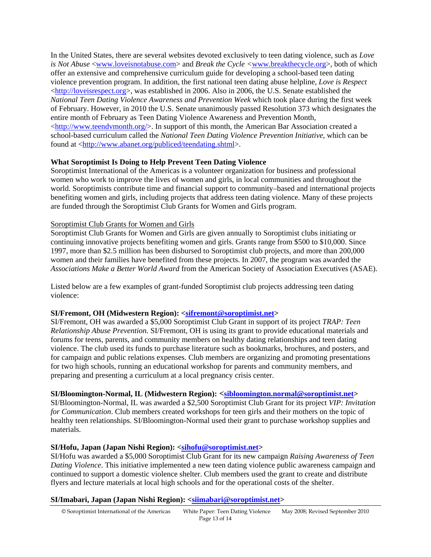In the United States, there are several websites devoted exclusively to teen dating violence, such as *Love is Not Abuse* <[www.loveisnotabuse.com](http://www.loveisnotabuse.com/)> and *Break the Cycle <*[www.breakthecycle.org](http://www.breakthecycle.org/)>, both of which offer an extensive and comprehensive curriculum guide for developing a school-based teen dating violence prevention program. In addition, the first national teen dating abuse helpline, *Love is Respect*  $\langle$ http://loveisrespect.org>, was established in 2006. Also in 2006, the U.S. Senate established the *National Teen Dating Violence Awareness and Prevention Week* which took place during the first week of February. However, in 2010 the U.S. Senate unanimously passed Resolution 373 which designates the entire month of February as Teen Dating Violence Awareness and Prevention Month, [<http://www.teendvmonth.org/>](http://www.teendvmonth.org/). In support of this month, the American Bar Association created a school-based curriculum called the *National Teen Dating Violence Prevention Initiative*, which can be found at [<http://www.abanet.org/publiced/teendating.shtml](http://www.abanet.org/publiced/teendating.shtml)>.

# **What Soroptimist Is Doing to Help Prevent Teen Dating Violence**

Soroptimist International of the Americas is a volunteer organization for business and professional women who work to improve the lives of women and girls, in local communities and throughout the world. Soroptimists contribute time and financial support to community–based and international projects benefiting women and girls, including projects that address teen dating violence. Many of these projects are funded through the Soroptimist Club Grants for Women and Girls program.

#### Soroptimist Club Grants for Women and Girls

Soroptimist Club Grants for Women and Girls are given annually to Soroptimist clubs initiating or continuing innovative projects benefiting women and girls. Grants range from \$500 to \$10,000. Since 1997, more than \$2.5 million has been disbursed to Soroptimist club projects, and more than 200,000 women and their families have benefited from these projects. In 2007, the program was awarded the *Associations Make a Better World Award* from the American Society of Association Executives (ASAE).

Listed below are a few examples of grant-funded Soroptimist club projects addressing teen dating violence:

#### **SI/Fremont, OH (Midwestern Region): <[sifremont@soroptimist.net>](mailto:sifremont@soroptimist.net)**

SI/Fremont, OH was awarded a \$5,000 Soroptimist Club Grant in support of its project *TRAP: Teen Relationship Abuse Prevention.* SI/Fremont, OH is using its grant to provide educational materials and forums for teens, parents, and community members on healthy dating relationships and teen dating violence. The club used its funds to purchase literature such as bookmarks, brochures, and posters, and for campaign and public relations expenses. Club members are organizing and promoting presentations for two high schools, running an educational workshop for parents and community members, and preparing and presenting a curriculum at a local pregnancy crisis center.

#### **SI/Bloomington-Normal, IL (Midwestern Region): [<sibloomington.normal@soroptimist.net>](mailto:sibloomington.normal@soroptimist.net)**

SI/Bloomington-Normal, IL was awarded a \$2,500 Soroptimist Club Grant for its project *VIP: Invitation for Communication*. Club members created workshops for teen girls and their mothers on the topic of healthy teen relationships. SI/Bloomington-Normal used their grant to purchase workshop supplies and materials.

#### **SI/Hofu, Japan (Japan Nishi Region): <[sihofu@soroptimist.net](mailto:sihofu@soroptimist.net)>**

SI/Hofu was awarded a \$5,000 Soroptimist Club Grant for its new campaign *Raising Awareness of Teen Dating Violence*. This initiative implemented a new teen dating violence public awareness campaign and continued to support a domestic violence shelter. Club members used the grant to create and distribute flyers and lecture materials at local high schools and for the operational costs of the shelter.

#### **SI/Imabari, Japan (Japan Nishi Region): <[siimabari@soroptimist.net>](mailto:siimabari@soroptimist.net)**